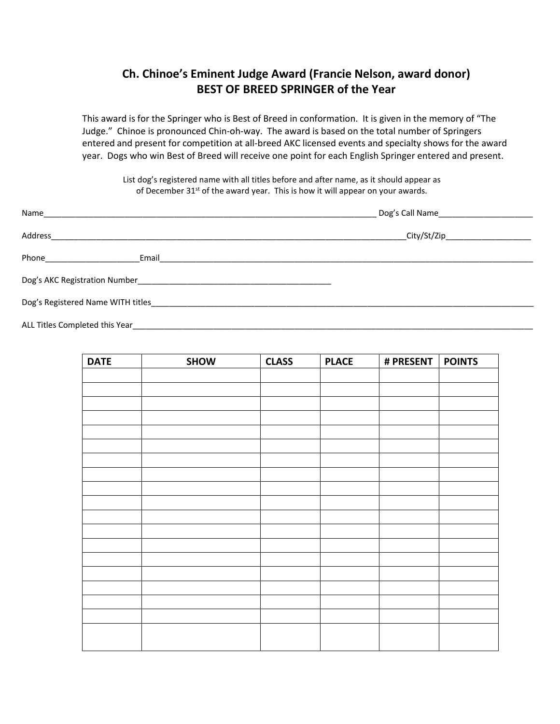## **Ch. Chinoe's Eminent Judge Award (Francie Nelson, award donor) BEST OF BREED SPRINGER of the Year**

This award is for the Springer who is Best of Breed in conformation. It is given in the memory of "The Judge." Chinoe is pronounced Chin-oh-way. The award is based on the total number of Springers entered and present for competition at all-breed AKC licensed events and specialty shows for the award year. Dogs who win Best of Breed will receive one point for each English Springer entered and present.

List dog's registered name with all titles before and after name, as it should appear as of December 31<sup>st</sup> of the award year. This is how it will appear on your awards.

| Name______<br><u> 1989 - John Stone, Amerikaansk politiker († 1989)</u>                                                  |                                                          |  |  |
|--------------------------------------------------------------------------------------------------------------------------|----------------------------------------------------------|--|--|
| Address                                                                                                                  | City/St/Zip______________________                        |  |  |
| Phone _________________                                                                                                  | Email <b>Exercise Security Construction Construction</b> |  |  |
|                                                                                                                          |                                                          |  |  |
| Dog's Registered Name WITH titles <b>Example 2008</b> Section 2008 12:00 AM and 2008 12:00 AM and 2008 12:00 AM and 2008 |                                                          |  |  |
| ALL Titles Completed this Year                                                                                           |                                                          |  |  |

| <b>DATE</b> | <b>SHOW</b> | <b>CLASS</b> | <b>PLACE</b> | # PRESENT   POINTS |  |
|-------------|-------------|--------------|--------------|--------------------|--|
|             |             |              |              |                    |  |
|             |             |              |              |                    |  |
|             |             |              |              |                    |  |
|             |             |              |              |                    |  |
|             |             |              |              |                    |  |
|             |             |              |              |                    |  |
|             |             |              |              |                    |  |
|             |             |              |              |                    |  |
|             |             |              |              |                    |  |
|             |             |              |              |                    |  |
|             |             |              |              |                    |  |
|             |             |              |              |                    |  |
|             |             |              |              |                    |  |
|             |             |              |              |                    |  |
|             |             |              |              |                    |  |
|             |             |              |              |                    |  |
|             |             |              |              |                    |  |
|             |             |              |              |                    |  |
|             |             |              |              |                    |  |
|             |             |              |              |                    |  |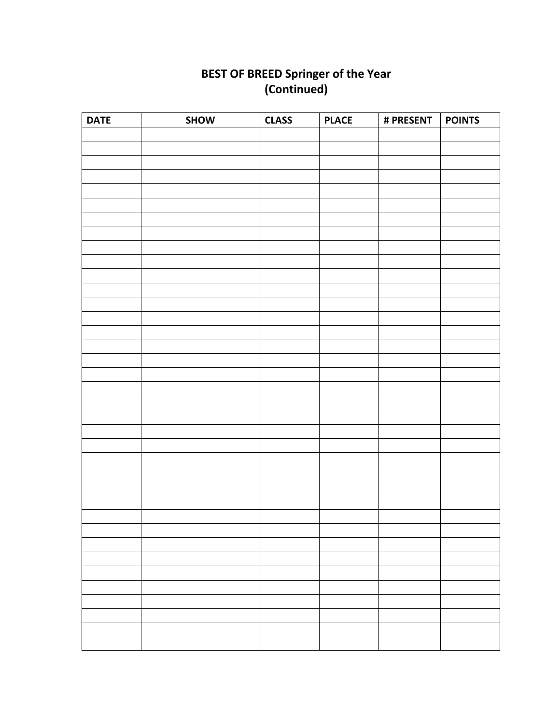## **BEST OF BREED Springer of the Year (Continued)**

| <b>DATE</b> | SHOW | <b>CLASS</b> | <b>PLACE</b> | # PRESENT | <b>POINTS</b> |
|-------------|------|--------------|--------------|-----------|---------------|
|             |      |              |              |           |               |
|             |      |              |              |           |               |
|             |      |              |              |           |               |
|             |      |              |              |           |               |
|             |      |              |              |           |               |
|             |      |              |              |           |               |
|             |      |              |              |           |               |
|             |      |              |              |           |               |
|             |      |              |              |           |               |
|             |      |              |              |           |               |
|             |      |              |              |           |               |
|             |      |              |              |           |               |
|             |      |              |              |           |               |
|             |      |              |              |           |               |
|             |      |              |              |           |               |
|             |      |              |              |           |               |
|             |      |              |              |           |               |
|             |      |              |              |           |               |
|             |      |              |              |           |               |
|             |      |              |              |           |               |
|             |      |              |              |           |               |
|             |      |              |              |           |               |
|             |      |              |              |           |               |
|             |      |              |              |           |               |
|             |      |              |              |           |               |
|             |      |              |              |           |               |
|             |      |              |              |           |               |
|             |      |              |              |           |               |
|             |      |              |              |           |               |
|             |      |              |              |           |               |
|             |      |              |              |           |               |
|             |      |              |              |           |               |
|             |      |              |              |           |               |
|             |      |              |              |           |               |
|             |      |              |              |           |               |
|             |      |              |              |           |               |
|             |      |              |              |           |               |